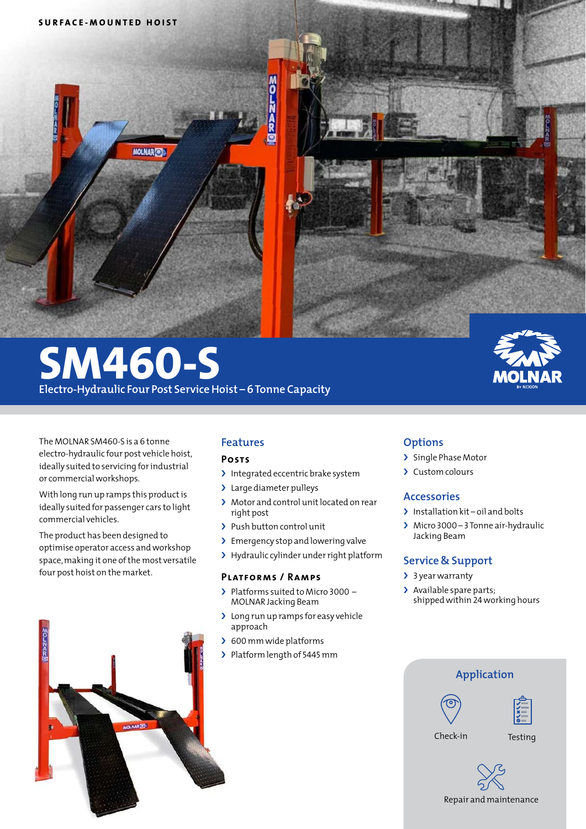

# **SM460-S Electro-Hydraulic Four Post Service Hoist – 6 Tonne Capacity**

The MOLNAR SM460-S is a 6 tonne electro-hydraulic four post vehicle hoist, ideally suited to servicing for industrial or commercial workshops.

With long run up ramps this product is ideally suited for passenger cars to light commercial vehicles.

The product has been designed to optimise operator access and workshop space, making it one of the most versatile four post hoist on the market.



## **Features**

#### **Posts**

- > Integrated eccentric brake system
- > Large diameter pulleys
- › Motor and control unit located on rear right post
- > Push button control unit
- > Emergency stop and lowering valve
- › Hydraulic cylinder under right platform

#### **Platforms / Ramps**

- › Platforms suited to Micro 3000 MOLNAR Jacking Beam
- > Long run up ramps for easy vehicle approach
- > 600 mm wide platforms
- › Platform length of 5445 mm

## **Options**

- › Single Phase Motor
- › Custom colours

## **Accessories**

- > Installation kit oil and bolts
- › Micro 3000 3 Tonne air-hydraulic Jacking Beam

## **Service & Support**

- > 3 year warranty
- > Available spare parts; shipped within 24 working hours



Repair and maintenance